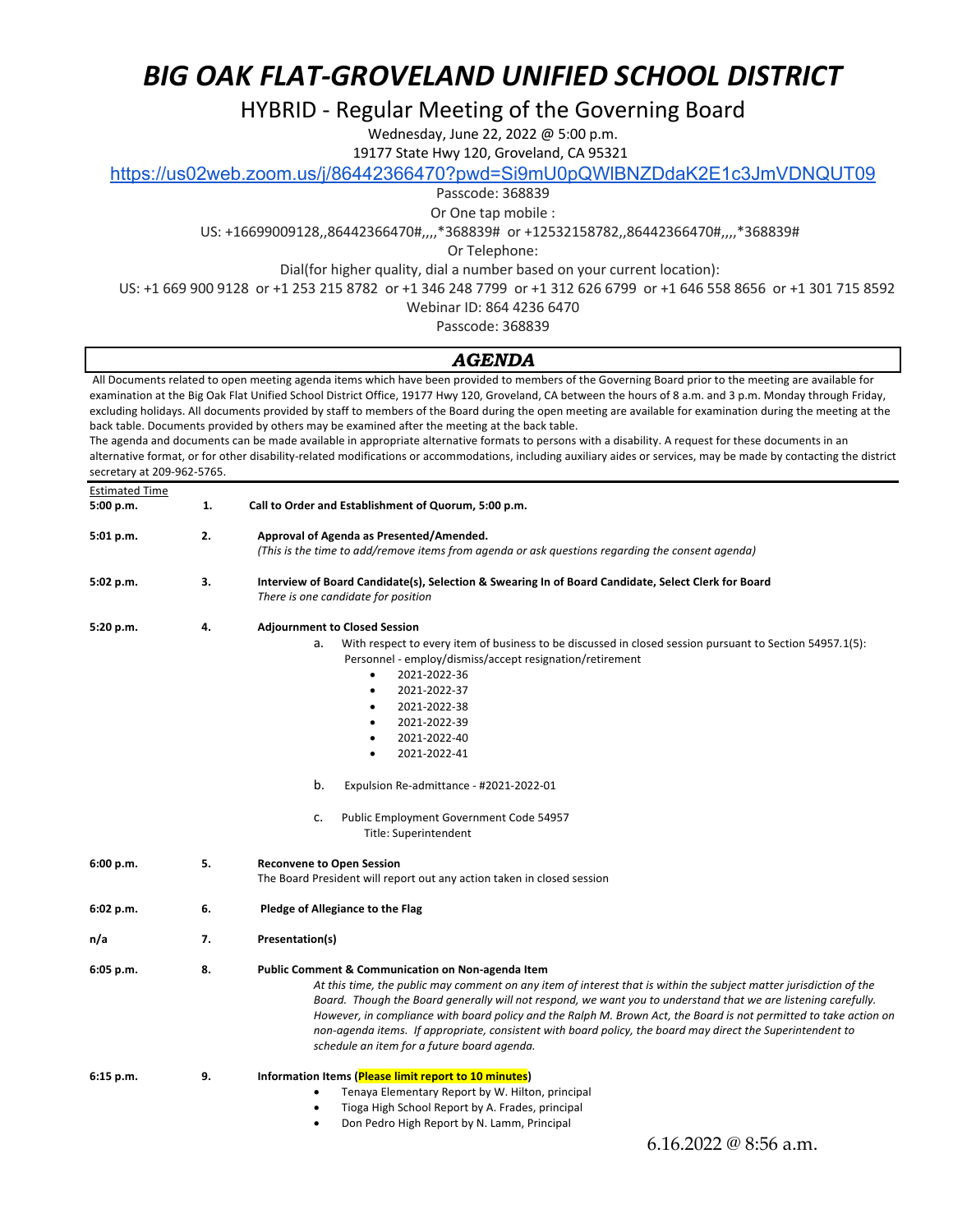HYBRID - Regular Meeting of the Governing Board

Wednesday, June 22, 2022 @ 5:00 p.m.

19177 State Hwy 120, Groveland, CA 95321

https://us02web.zoom.us/j/86442366470?pwd=Si9mU0pQWlBNZDdaK2E1c3JmVDNQUT09

Passcode: 368839

Or One tap mobile :

US: +16699009128,,86442366470#,,,,\*368839# or +12532158782,,86442366470#,,,,\*368839#

Or Telephone:

Dial(for higher quality, dial a number based on your current location):

US: +1 669 900 9128 or +1 253 215 8782 or +1 346 248 7799 or +1 312 626 6799 or +1 646 558 8656 or +1 301 715 8592

Webinar ID: 864 4236 6470

Passcode: 368839

### *AGENDA*

All Documents related to open meeting agenda items which have been provided to members of the Governing Board prior to the meeting are available for examination at the Big Oak Flat Unified School District Office, 19177 Hwy 120, Groveland, CA between the hours of 8 a.m. and 3 p.m. Monday through Friday, excluding holidays. All documents provided by staff to members of the Board during the open meeting are available for examination during the meeting at the back table. Documents provided by others may be examined after the meeting at the back table.

The agenda and documents can be made available in appropriate alternative formats to persons with a disability. A request for these documents in an alternative format, or for other disability-related modifications or accommodations, including auxiliary aides or services, may be made by contacting the district secretary at 209-962-5765.

| <b>Estimated Time</b><br>5:00 p.m. | 1. | Call to Order and Establishment of Quorum, 5:00 p.m.                                                                                                                                                                                                                                                                                                                                                                                                                                                                                                                                   |
|------------------------------------|----|----------------------------------------------------------------------------------------------------------------------------------------------------------------------------------------------------------------------------------------------------------------------------------------------------------------------------------------------------------------------------------------------------------------------------------------------------------------------------------------------------------------------------------------------------------------------------------------|
| 5:01 p.m.                          | 2. | Approval of Agenda as Presented/Amended.<br>(This is the time to add/remove items from agenda or ask questions regarding the consent agenda)                                                                                                                                                                                                                                                                                                                                                                                                                                           |
| 5:02 p.m.                          | з. | Interview of Board Candidate(s), Selection & Swearing In of Board Candidate, Select Clerk for Board<br>There is one candidate for position                                                                                                                                                                                                                                                                                                                                                                                                                                             |
| 5:20 p.m.                          | 4. | <b>Adjournment to Closed Session</b><br>With respect to every item of business to be discussed in closed session pursuant to Section 54957.1(5):<br>a.<br>Personnel - employ/dismiss/accept resignation/retirement<br>2021-2022-36<br>$\bullet$<br>2021-2022-37<br>$\bullet$<br>2021-2022-38<br>$\bullet$<br>2021-2022-39<br>$\bullet$<br>2021-2022-40<br>$\bullet$<br>2021-2022-41<br>$\bullet$<br>b.<br>Expulsion Re-admittance - #2021-2022-01<br>Public Employment Government Code 54957<br>c.<br>Title: Superintendent                                                            |
| 6:00 p.m.                          | 5. | <b>Reconvene to Open Session</b><br>The Board President will report out any action taken in closed session                                                                                                                                                                                                                                                                                                                                                                                                                                                                             |
| 6:02 p.m.                          | 6. | Pledge of Allegiance to the Flag                                                                                                                                                                                                                                                                                                                                                                                                                                                                                                                                                       |
| n/a                                | 7. | Presentation(s)                                                                                                                                                                                                                                                                                                                                                                                                                                                                                                                                                                        |
| 6:05 p.m.                          | 8. | <b>Public Comment &amp; Communication on Non-agenda Item</b><br>At this time, the public may comment on any item of interest that is within the subject matter jurisdiction of the<br>Board. Though the Board generally will not respond, we want you to understand that we are listening carefully.<br>However, in compliance with board policy and the Ralph M. Brown Act, the Board is not permitted to take action on<br>non-agenda items. If appropriate, consistent with board policy, the board may direct the Superintendent to<br>schedule an item for a future board agenda. |
| $6:15$ p.m.                        | 9. | Information Items (Please limit report to 10 minutes)<br>Tenaya Elementary Report by W. Hilton, principal<br>٠<br>Tioga High School Report by A. Frades, principal<br>$\bullet$<br>Don Pedro High Report by N. Lamm, Principal<br>٠                                                                                                                                                                                                                                                                                                                                                    |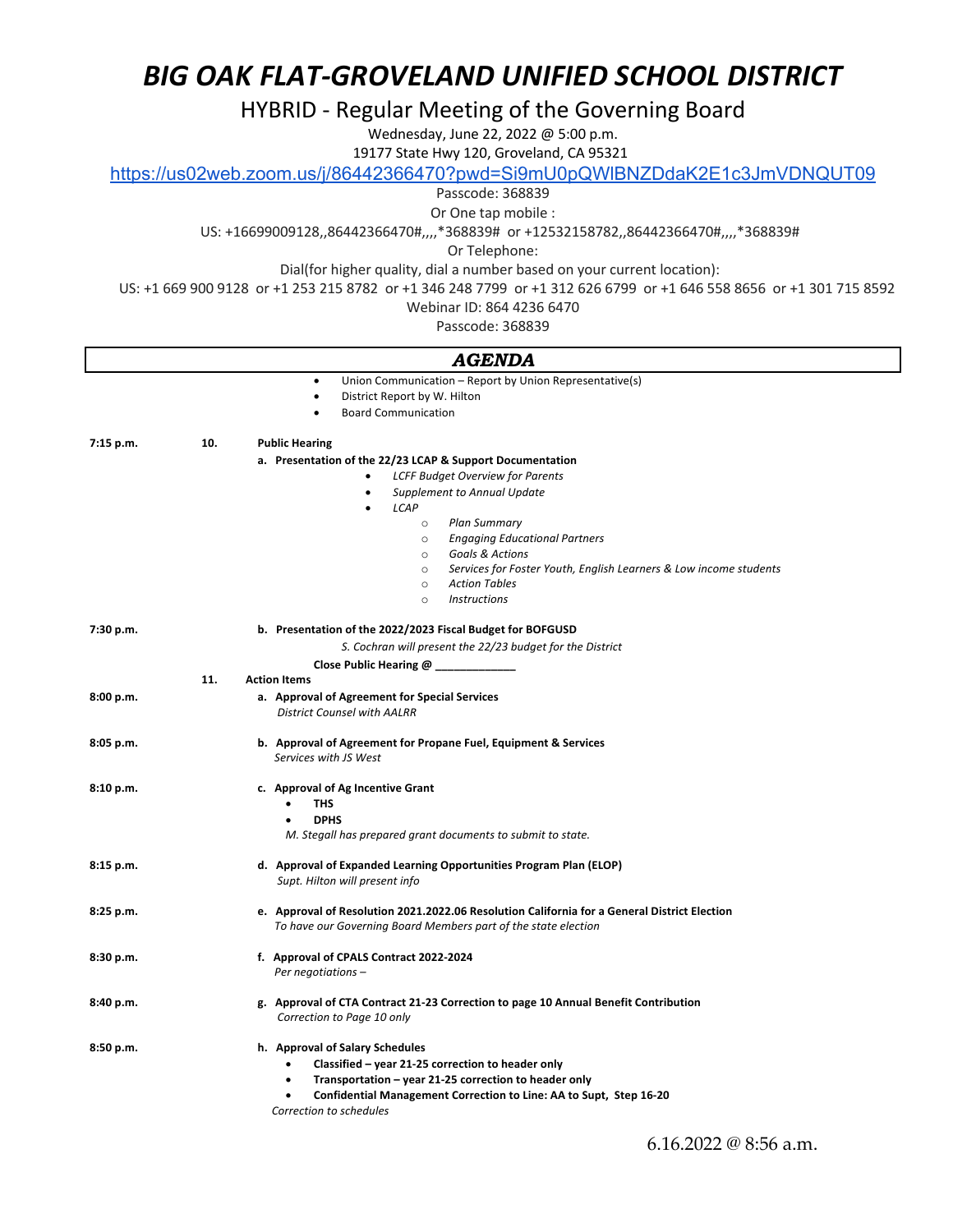HYBRID - Regular Meeting of the Governing Board

Wednesday, June 22, 2022 @ 5:00 p.m.

19177 State Hwy 120, Groveland, CA 95321

https://us02web.zoom.us/j/86442366470?pwd=Si9mU0pQWlBNZDdaK2E1c3JmVDNQUT09

Passcode: 368839

Or One tap mobile :

US: +16699009128,,86442366470#,,,,\*368839# or +12532158782,,86442366470#,,,,\*368839#

Or Telephone:

Dial(for higher quality, dial a number based on your current location):

US: +1 669 900 9128 or +1 253 215 8782 or +1 346 248 7799 or +1 312 626 6799 or +1 646 558 8656 or +1 301 715 8592

Webinar ID: 864 4236 6470

Passcode: 368839

### *AGENDA*

|           |     | Union Communication – Report by Union Representative(s)<br>٠                                                                                                                                                                                                |
|-----------|-----|-------------------------------------------------------------------------------------------------------------------------------------------------------------------------------------------------------------------------------------------------------------|
|           |     | District Report by W. Hilton<br>$\bullet$                                                                                                                                                                                                                   |
|           |     | <b>Board Communication</b>                                                                                                                                                                                                                                  |
| 7:15 p.m. | 10. | <b>Public Hearing</b>                                                                                                                                                                                                                                       |
|           |     | a. Presentation of the 22/23 LCAP & Support Documentation                                                                                                                                                                                                   |
|           |     | <b>LCFF Budget Overview for Parents</b><br>$\bullet$                                                                                                                                                                                                        |
|           |     | Supplement to Annual Update<br>$\bullet$                                                                                                                                                                                                                    |
|           |     | LCAP<br>$\bullet$                                                                                                                                                                                                                                           |
|           |     | <b>Plan Summary</b><br>$\circ$                                                                                                                                                                                                                              |
|           |     | <b>Engaging Educational Partners</b><br>$\circ$                                                                                                                                                                                                             |
|           |     | <b>Goals &amp; Actions</b><br>$\circ$                                                                                                                                                                                                                       |
|           |     | Services for Foster Youth, English Learners & Low income students<br>$\circ$                                                                                                                                                                                |
|           |     | <b>Action Tables</b><br>$\circ$                                                                                                                                                                                                                             |
|           |     | <b>Instructions</b><br>$\circ$                                                                                                                                                                                                                              |
| 7:30 p.m. |     | b. Presentation of the 2022/2023 Fiscal Budget for BOFGUSD                                                                                                                                                                                                  |
|           |     | S. Cochran will present the 22/23 budget for the District                                                                                                                                                                                                   |
|           |     | Close Public Hearing @                                                                                                                                                                                                                                      |
|           | 11. | <b>Action Items</b>                                                                                                                                                                                                                                         |
| 8:00 p.m. |     | a. Approval of Agreement for Special Services                                                                                                                                                                                                               |
|           |     | <b>District Counsel with AALRR</b>                                                                                                                                                                                                                          |
| 8:05 p.m. |     | b. Approval of Agreement for Propane Fuel, Equipment & Services<br>Services with JS West                                                                                                                                                                    |
| 8:10 p.m. |     | c. Approval of Ag Incentive Grant<br><b>THS</b><br><b>DPHS</b><br>$\bullet$<br>M. Stegall has prepared grant documents to submit to state.                                                                                                                  |
| 8:15 p.m. |     | d. Approval of Expanded Learning Opportunities Program Plan (ELOP)<br>Supt. Hilton will present info                                                                                                                                                        |
|           |     |                                                                                                                                                                                                                                                             |
| 8:25 p.m. |     | e. Approval of Resolution 2021.2022.06 Resolution California for a General District Election<br>To have our Governing Board Members part of the state election                                                                                              |
| 8:30 p.m. |     | f. Approval of CPALS Contract 2022-2024<br>Per negotiations -                                                                                                                                                                                               |
| 8:40 p.m. |     | g. Approval of CTA Contract 21-23 Correction to page 10 Annual Benefit Contribution<br>Correction to Page 10 only                                                                                                                                           |
| 8:50 p.m. |     | h. Approval of Salary Schedules<br>Classified - year 21-25 correction to header only<br>Transportation - year 21-25 correction to header only<br>$\bullet$<br>Confidential Management Correction to Line: AA to Supt, Step 16-20<br>Correction to schedules |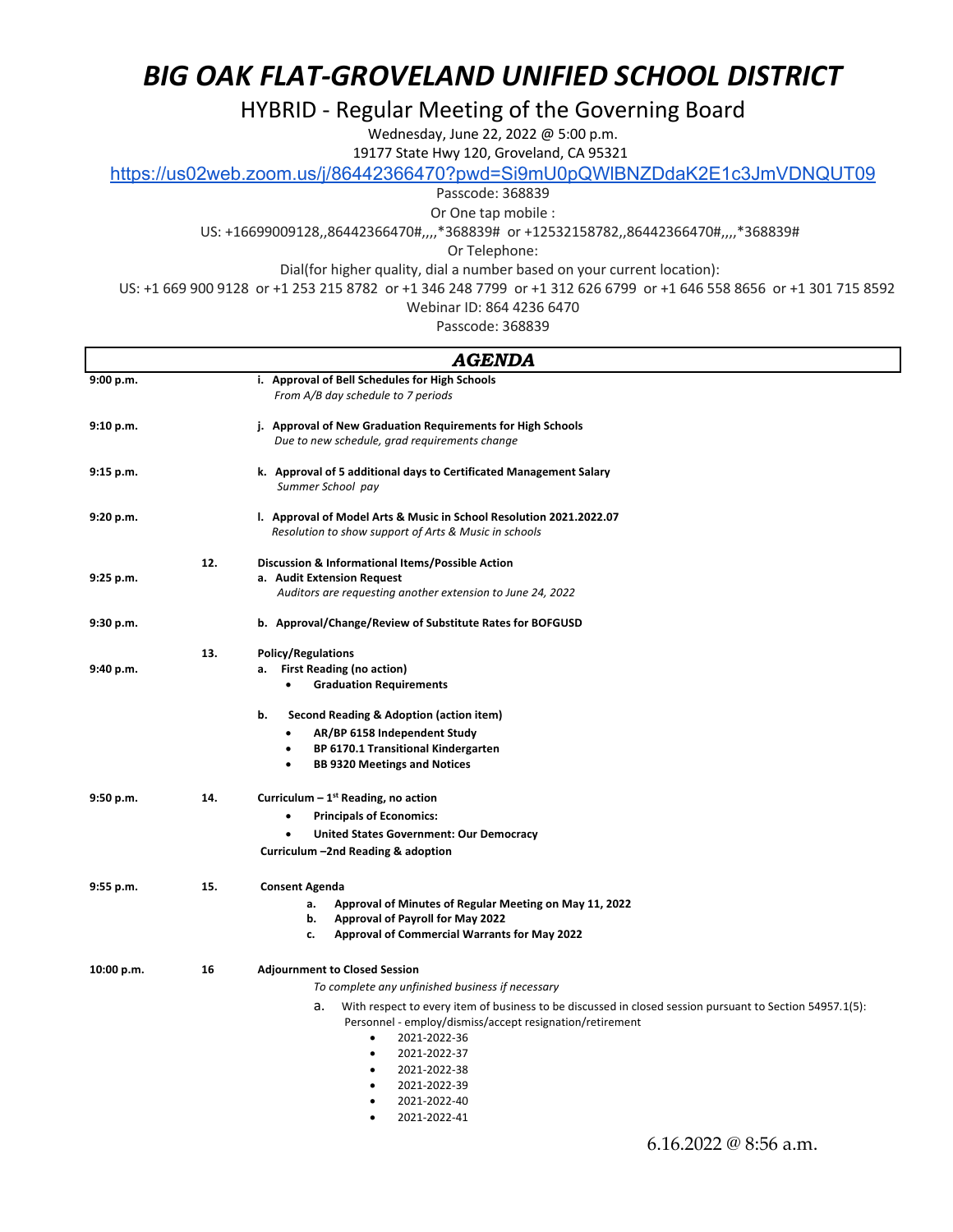HYBRID - Regular Meeting of the Governing Board

Wednesday, June 22, 2022 @ 5:00 p.m.

19177 State Hwy 120, Groveland, CA 95321

https://us02web.zoom.us/j/86442366470?pwd=Si9mU0pQWlBNZDdaK2E1c3JmVDNQUT09

Passcode: 368839

Or One tap mobile :

US: +16699009128,,86442366470#,,,,\*368839# or +12532158782,,86442366470#,,,,\*368839#

Or Telephone:

Dial(for higher quality, dial a number based on your current location):

US: +1 669 900 9128 or +1 253 215 8782 or +1 346 248 7799 or +1 312 626 6799 or +1 646 558 8656 or +1 301 715 8592

Webinar ID: 864 4236 6470

Passcode: 368839

| AGENDA     |     |                                                                                                                                                                                                                                           |  |  |
|------------|-----|-------------------------------------------------------------------------------------------------------------------------------------------------------------------------------------------------------------------------------------------|--|--|
| 9:00 p.m.  |     | i. Approval of Bell Schedules for High Schools                                                                                                                                                                                            |  |  |
|            |     | From A/B day schedule to 7 periods                                                                                                                                                                                                        |  |  |
| 9:10 p.m.  |     | j. Approval of New Graduation Requirements for High Schools                                                                                                                                                                               |  |  |
|            |     | Due to new schedule, grad requirements change                                                                                                                                                                                             |  |  |
| 9:15 p.m.  |     | k. Approval of 5 additional days to Certificated Management Salary<br>Summer School pay                                                                                                                                                   |  |  |
| 9:20 p.m.  |     | I. Approval of Model Arts & Music in School Resolution 2021.2022.07<br>Resolution to show support of Arts & Music in schools                                                                                                              |  |  |
|            | 12. | Discussion & Informational Items/Possible Action                                                                                                                                                                                          |  |  |
| 9:25 p.m.  |     | a. Audit Extension Request                                                                                                                                                                                                                |  |  |
|            |     | Auditors are requesting another extension to June 24, 2022                                                                                                                                                                                |  |  |
| 9:30 p.m.  |     | b. Approval/Change/Review of Substitute Rates for BOFGUSD                                                                                                                                                                                 |  |  |
|            | 13. | <b>Policy/Regulations</b>                                                                                                                                                                                                                 |  |  |
| 9:40 p.m.  |     | <b>First Reading (no action)</b><br>а.                                                                                                                                                                                                    |  |  |
|            |     | <b>Graduation Requirements</b><br>$\bullet$                                                                                                                                                                                               |  |  |
|            |     | b.<br>Second Reading & Adoption (action item)                                                                                                                                                                                             |  |  |
|            |     | AR/BP 6158 Independent Study<br>٠                                                                                                                                                                                                         |  |  |
|            |     | BP 6170.1 Transitional Kindergarten<br>$\bullet$                                                                                                                                                                                          |  |  |
|            |     | <b>BB 9320 Meetings and Notices</b><br>$\bullet$                                                                                                                                                                                          |  |  |
| 9:50 p.m.  | 14. | Curriculum $-1^{st}$ Reading, no action                                                                                                                                                                                                   |  |  |
|            |     | <b>Principals of Economics:</b>                                                                                                                                                                                                           |  |  |
|            |     | <b>United States Government: Our Democracy</b><br>$\bullet$                                                                                                                                                                               |  |  |
|            |     | Curriculum -2nd Reading & adoption                                                                                                                                                                                                        |  |  |
| 9:55 p.m.  | 15. | <b>Consent Agenda</b>                                                                                                                                                                                                                     |  |  |
|            |     | Approval of Minutes of Regular Meeting on May 11, 2022<br>а.                                                                                                                                                                              |  |  |
|            |     | <b>Approval of Payroll for May 2022</b><br>b.                                                                                                                                                                                             |  |  |
|            |     | <b>Approval of Commercial Warrants for May 2022</b><br>c.                                                                                                                                                                                 |  |  |
| 10:00 p.m. | 16  | <b>Adjournment to Closed Session</b>                                                                                                                                                                                                      |  |  |
|            |     | To complete any unfinished business if necessary                                                                                                                                                                                          |  |  |
|            |     | а.<br>With respect to every item of business to be discussed in closed session pursuant to Section 54957.1(5):<br>Personnel - employ/dismiss/accept resignation/retirement<br>2021-2022-36<br>٠<br>2021-2022-37<br>$\bullet$<br>$\bullet$ |  |  |
|            |     | 2021-2022-38<br>2021-2022-39<br>$\bullet$                                                                                                                                                                                                 |  |  |
|            |     | 2021-2022-40<br>$\bullet$                                                                                                                                                                                                                 |  |  |
|            |     | 2021-2022-41<br>$\bullet$                                                                                                                                                                                                                 |  |  |